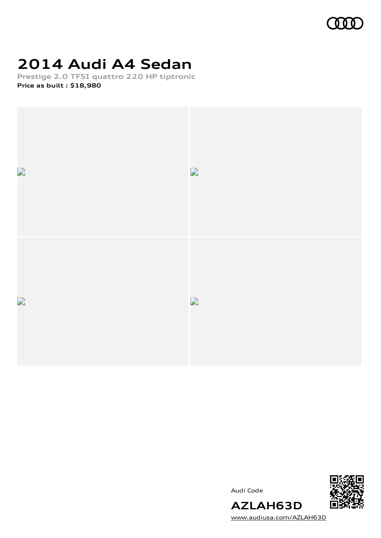

# **2014 Audi A4 Sedan**

**Prestige 2.0 TFSI quattro 220 HP tiptronic Price as built [:](#page-11-0) \$18,980**



Audi Code



[www.audiusa.com/AZLAH63D](https://www.audiusa.com/AZLAH63D)

**AZLAH63D**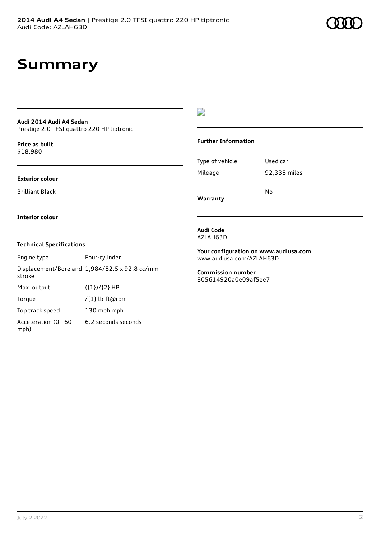### **Summary**

#### **Audi 2014 Audi A4 Sedan** Prestige 2.0 TFSI quattro 220 HP tiptronic

**Price as buil[t](#page-11-0)** \$18,980

#### **Exterior colour**

Brilliant Black

#### $\overline{\phantom{a}}$

#### **Further Information**

Type of vehicle Used car Mileage 92,338 miles No

**Warranty**

#### **Interior colour**

#### **Technical Specifications**

| Engine type                  | Four-cylinder                                 |
|------------------------------|-----------------------------------------------|
| stroke                       | Displacement/Bore and 1,984/82.5 x 92.8 cc/mm |
| Max. output                  | $({1})/{2}$ HP                                |
| Torque                       | /{1} lb-ft@rpm                                |
| Top track speed              | 130 mph mph                                   |
| Acceleration (0 - 60<br>mph) | 6.2 seconds seconds                           |

#### **Audi Code** AZLAH63D

**Your configuration on www.audiusa.com** [www.audiusa.com/AZLAH63D](https://www.audiusa.com/AZLAH63D)

**Commission number** 805614920a0e09af5ee7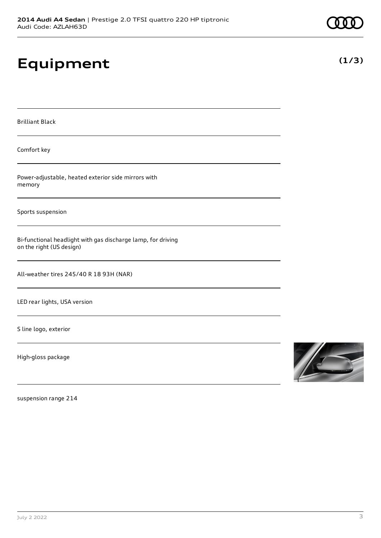# **Equipment**

Brilliant Black

Comfort key

Power-adjustable, heated exterior side mirrors with memory

Sports suspension

Bi-functional headlight with gas discharge lamp, for driving on the right (US design)

All-weather tires 245/40 R 18 93H (NAR)

LED rear lights, USA version

S line logo, exterior

High-gloss package



suspension range 214

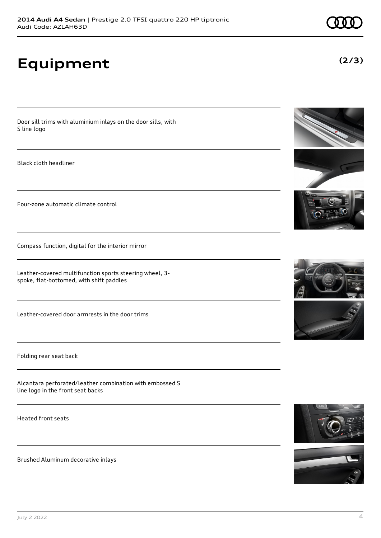**Equipment**

Door sill trims with aluminium inlays on the door sills, with S line logo

Black cloth headliner

Four-zone automatic climate control

Compass function, digital for the interior mirror

Leather-covered multifunction sports steering wheel, 3 spoke, flat-bottomed, with shift paddles

Leather-covered door armrests in the door trims

Folding rear seat back

Alcantara perforated/leather combination with embossed S line logo in the front seat backs

Heated front seats

Brushed Aluminum decorative inlays













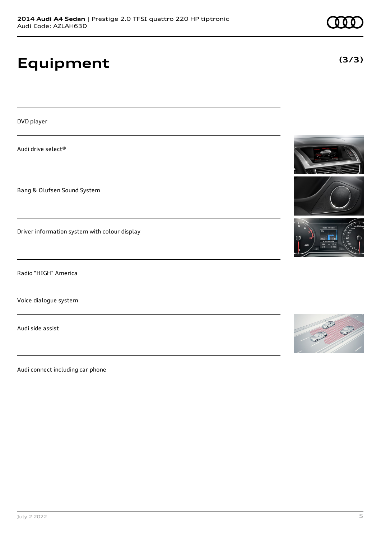# **Equipment**

DVD player

Audi drive select®

Bang & Olufsen Sound System

Driver information system with colour display

Radio "HIGH" America

Voice dialogue system

Audi side assist

Audi connect including car phone







**(3/3)**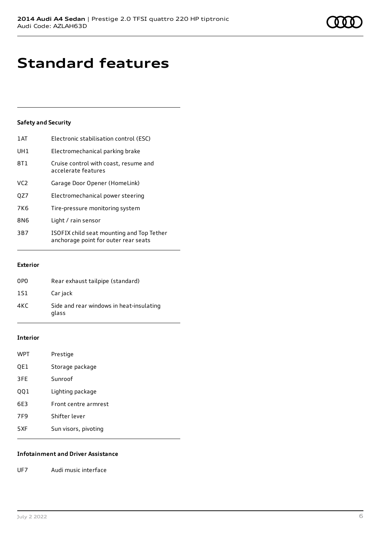## **Standard features**

#### **Safety and Security**

| 1 AT            | Electronic stabilisation control (ESC)                                            |
|-----------------|-----------------------------------------------------------------------------------|
| UH <sub>1</sub> | Electromechanical parking brake                                                   |
| 8T1             | Cruise control with coast, resume and<br>accelerate features                      |
| VC <sub>2</sub> | Garage Door Opener (HomeLink)                                                     |
| QZ7             | Electromechanical power steering                                                  |
| <b>7K6</b>      | Tire-pressure monitoring system                                                   |
| 8N6             | Light / rain sensor                                                               |
| 3B7             | ISOFIX child seat mounting and Top Tether<br>anchorage point for outer rear seats |

#### **Exterior**

| 0P <sub>0</sub> | Rear exhaust tailpipe (standard)                  |
|-----------------|---------------------------------------------------|
| 1S1             | Car jack                                          |
| 4KC             | Side and rear windows in heat-insulating<br>glass |

#### **Interior**

| WPT             | Prestige             |
|-----------------|----------------------|
| QE1             | Storage package      |
| 3FE             | Sunroof              |
| 001             | Lighting package     |
| 6E3             | Front centre armrest |
| 7F <sub>9</sub> | Shifter lever        |
| 5XF             | Sun visors, pivoting |

#### **Infotainment and Driver Assistance**

UF7 Audi music interface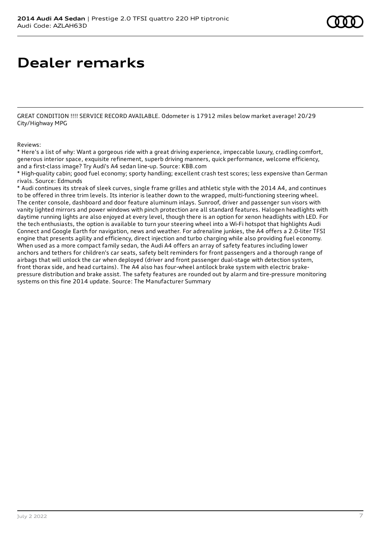### **Dealer remarks**

GREAT CONDITION !!!! SERVICE RECORD AVAILABLE. Odometer is 17912 miles below market average! 20/29 City/Highway MPG

Reviews:

\* Here's a list of why: Want a gorgeous ride with a great driving experience, impeccable luxury, cradling comfort, generous interior space, exquisite refinement, superb driving manners, quick performance, welcome efficiency, and a first-class image? Try Audi's A4 sedan line-up. Source: KBB.com

\* High-quality cabin; good fuel economy; sporty handling; excellent crash test scores; less expensive than German rivals. Source: Edmunds

\* Audi continues its streak of sleek curves, single frame grilles and athletic style with the 2014 A4, and continues to be offered in three trim levels. Its interior is leather down to the wrapped, multi-functioning steering wheel. The center console, dashboard and door feature aluminum inlays. Sunroof, driver and passenger sun visors with vanity lighted mirrors and power windows with pinch protection are all standard features. Halogen headlights with daytime running lights are also enjoyed at every level, though there is an option for xenon headlights with LED. For the tech enthusiasts, the option is available to turn your steering wheel into a Wi-Fi hotspot that highlights Audi Connect and Google Earth for navigation, news and weather. For adrenaline junkies, the A4 offers a 2.0-liter TFSI engine that presents agility and efficiency, direct injection and turbo charging while also providing fuel economy. When used as a more compact family sedan, the Audi A4 offers an array of safety features including lower anchors and tethers for children's car seats, safety belt reminders for front passengers and a thorough range of airbags that will unlock the car when deployed (driver and front passenger dual-stage with detection system, front thorax side, and head curtains). The A4 also has four-wheel antilock brake system with electric brakepressure distribution and brake assist. The safety features are rounded out by alarm and tire-pressure monitoring systems on this fine 2014 update. Source: The Manufacturer Summary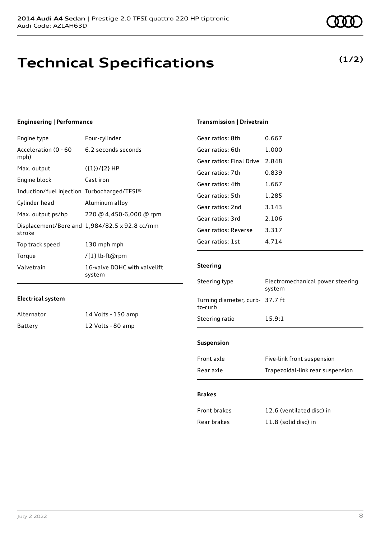### **Technical Specifications**

#### **Engineering | Performance**

| Engine type                                 | Four-cylinder                                 |
|---------------------------------------------|-----------------------------------------------|
| Acceleration (0 - 60<br>mph)                | 6.2 seconds seconds                           |
| Max. output                                 | $({1})/{2}$ HP                                |
| Engine block                                | Cast iron                                     |
| Induction/fuel injection Turbocharged/TFSI® |                                               |
| Cylinder head                               | Aluminum alloy                                |
| Max. output ps/hp                           | 220 @ 4,450-6,000 @ rpm                       |
| stroke                                      | Displacement/Bore and 1,984/82.5 x 92.8 cc/mm |
| Top track speed                             | 130 mph mph                                   |
| Torque                                      | /{1} lb-ft@rpm                                |
| Valvetrain                                  | 16-valve DOHC with valvelift<br>system        |

#### **Electrical system**

| Alternator | 14 Volts - 150 amp |
|------------|--------------------|
| Battery    | 12 Volts - 80 amp  |

**(1/2)**

#### **Transmission | Drivetrain**

| Gear ratios: 8th         | 0.667 |
|--------------------------|-------|
| Gear ratios: 6th         | 1.000 |
| Gear ratios: Final Drive | 2.848 |
| Gear ratios: 7th         | 0.839 |
| Gear ratios: 4th         | 1.667 |
| Gear ratios: 5th         | 1.285 |
| Gear ratios: 2nd         | 3.143 |
| Gear ratios: 3rd         | 2.106 |
| Gear ratios: Reverse     | 3.317 |
| Gear ratios: 1st         | 4 714 |

#### **Steering**

| Steering type                              | Electromechanical power steering<br>system |
|--------------------------------------------|--------------------------------------------|
| Turning diameter, curb- 37.7 ft<br>to-curb |                                            |
| Steering ratio                             | 15.9:1                                     |
|                                            |                                            |

#### **Suspension**

| Front axle | Five-link front suspension       |
|------------|----------------------------------|
| Rear axle  | Trapezoidal-link rear suspension |

#### **Brakes**

| Front brakes | 12.6 (ventilated disc) in |
|--------------|---------------------------|
| Rear brakes  | 11.8 (solid disc) in      |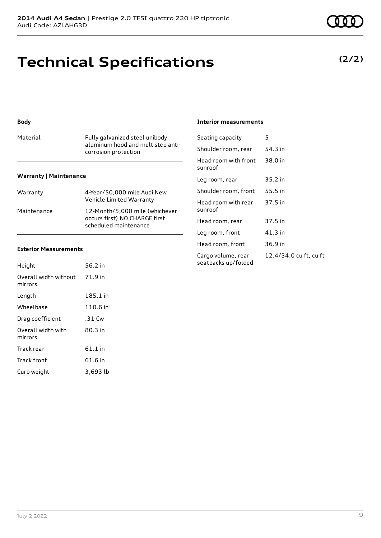# **Technical Specifications**

### **Body**

| Material                      | Fully galvanized steel unibody<br>aluminum hood and multistep anti-<br>corrosion protection |
|-------------------------------|---------------------------------------------------------------------------------------------|
| <b>Warranty   Maintenance</b> |                                                                                             |
| Warranty                      | 4-Year/50,000 mile Audi New                                                                 |

|             | Vehicle Limited Warranty                                                                 |
|-------------|------------------------------------------------------------------------------------------|
| Maintenance | 12-Month/5.000 mile (whichever<br>occurs first) NO CHARGE first<br>scheduled maintenance |

#### **Exterior Measurements**

| Height                           | 56.2 in  |
|----------------------------------|----------|
| Overall width without<br>mirrors | 71.9 in  |
| Length                           | 185.1 in |
| Wheelbase                        | 110.6 in |
| Drag coefficient                 | .31 Cw   |
| Overall width with<br>mirrors    | 80.3 in  |
| Track rear                       | 61.1 in  |
| <b>Track front</b>               | 61.6 in  |
| Curb weight                      | 3,693 lb |

#### **Interior measurements**

| Seating capacity                          | 5                      |
|-------------------------------------------|------------------------|
| Shoulder room, rear                       | 54.3 in                |
| Head room with front<br>sunroof           | 38.0 in                |
| Leg room, rear                            | 35.2 in                |
| Shoulder room, front                      | 55.5 in                |
| Head room with rear<br>sunroof            | 37.5 in                |
| Head room, rear                           | 37.5 in                |
| Leg room, front                           | 41.3 in                |
| Head room, front                          | 36.9 in                |
| Cargo volume, rear<br>seatbacks up/folded | 12.4/34.0 cu ft, cu ft |

#### **(2/2)**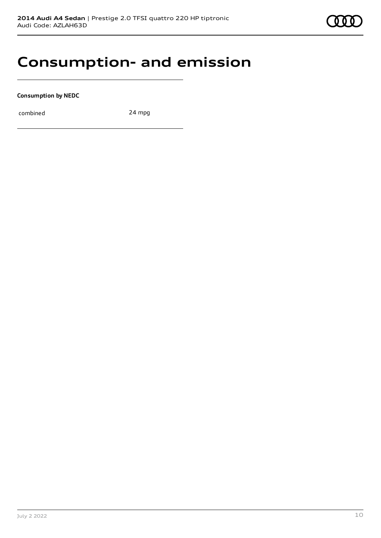

### **Consumption- and emission**

**Consumption by NEDC**

combined 24 mpg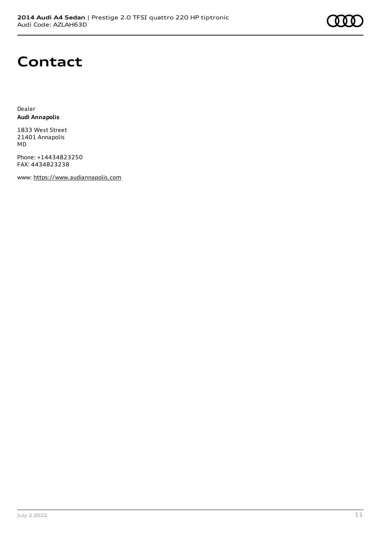

### **Contact**

Dealer **Audi Annapolis**

1833 West Street 21401 Annapolis MD

Phone: +14434823250 FAX: 4434823238

www: [https://www.audiannapolis.com](https://www.audiannapolis.com/)